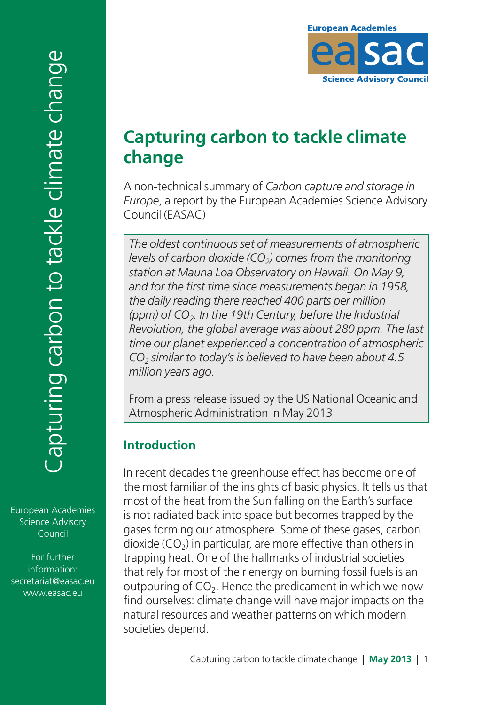# **Capturing carbon to tackle climate change**

A non-technical summary of *Carbon capture and storage in Europe*, a report by the European Academies Science Advisory Council (EASAC)

*The oldest continuous set of measurements of atmospheric levels of carbon dioxide (CO<sub>2</sub>) comes from the monitoring station at Mauna Loa Observatory on Hawaii. On May 9, and for the first time since measurements began in 1958, the daily reading there reached 400 parts per million (ppm) of CO2. In the 19th Century, before the Industrial Revolution, the global average was about 280 ppm. The last time our planet experienced a concentration of atmospheric CO2 similar to today's is believed to have been about 4.5 million years ago.*

From a press release issued by the US National Oceanic and Atmospheric Administration in May 2013

### **Introduction**

In recent decades the greenhouse effect has become one of the most familiar of the insights of basic physics. It tells us that most of the heat from the Sun falling on the Earth's surface is not radiated back into space but becomes trapped by the gases forming our atmosphere. Some of these gases, carbon dioxide  $(CO<sub>2</sub>)$  in particular, are more effective than others in trapping heat. One of the hallmarks of industrial societies that rely for most of their energy on burning fossil fuels is an outpouring of  $CO<sub>2</sub>$ . Hence the predicament in which we now find ourselves: climate change will have major impacts on the natural resources and weather patterns on which modern societies depend.

European Academies Science Advisory Council

For further information: [secretariat@easac.eu](mailto:secretariat%40easac.eu?subject=) [www.easac.eu](http://www.easac.eu)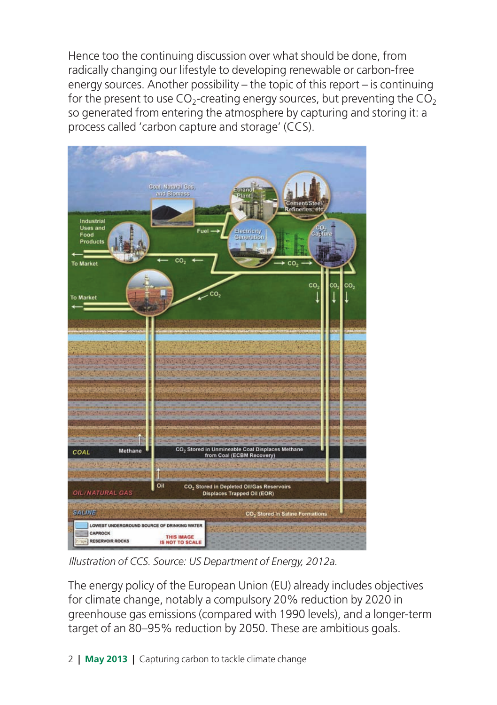Hence too the continuing discussion over what should be done, from radically changing our lifestyle to developing renewable or carbon-free energy sources. Another possibility – the topic of this report – is continuing for the present to use  $CO<sub>2</sub>$ -creating energy sources, but preventing the  $CO<sub>2</sub>$ so generated from entering the atmosphere by capturing and storing it: a process called 'carbon capture and storage' (CCS).



*Illustration of CCS. Source: US Department of Energy, 2012a.*

The energy policy of the European Union (EU) already includes objectives for climate change, notably a compulsory 20% reduction by 2020 in greenhouse gas emissions (compared with 1990 levels), and a longer-term target of an 80–95% reduction by 2050. These are ambitious goals.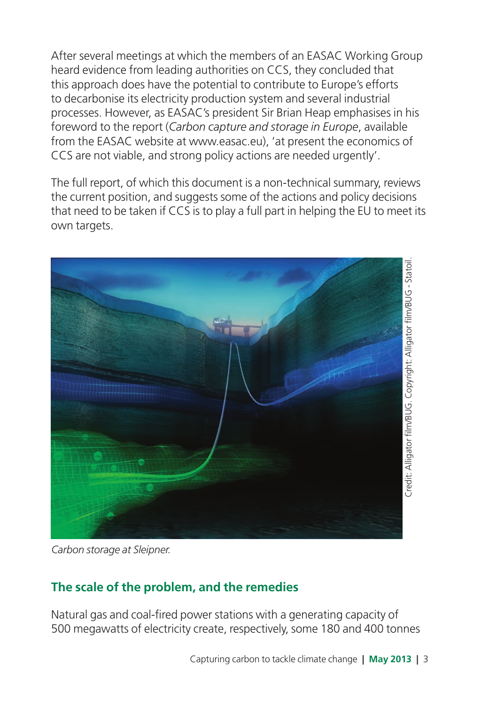After several meetings at which the members of an EASAC Working Group heard evidence from leading authorities on CCS, they concluded that this approach does have the potential to contribute to Europe's efforts to decarbonise its electricity production system and several industrial processes. However, as EASAC's president Sir Brian Heap emphasises in his foreword to the report (*Carbon capture and storage in Europe*, available from the EASAC website at [www.easac.eu\)](http://www.easac.eu), 'at present the economics of CCS are not viable, and strong policy actions are needed urgently'.

The full report, of which this document is a non-technical summary, reviews the current position, and suggests some of the actions and policy decisions that need to be taken if CCS is to play a full part in helping the EU to meet its own targets.



*Carbon storage at Sleipner.*

# **The scale of the problem, and the remedies**

Natural gas and coal-fired power stations with a generating capacity of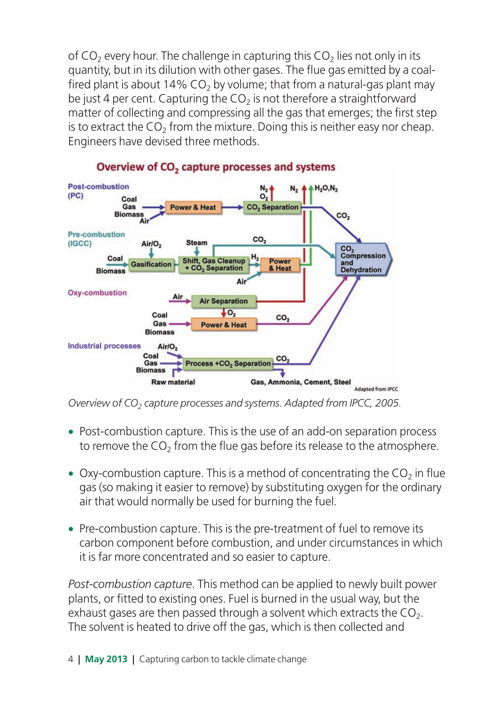of  $CO<sub>2</sub>$  every hour. The challenge in capturing this  $CO<sub>2</sub>$  lies not only in its quantity, but in its dilution with other gases. The flue gas emitted by a coalfired plant is about 14%  $CO<sub>2</sub>$  by volume; that from a natural-gas plant may be just 4 per cent. Capturing the  $CO<sub>2</sub>$  is not therefore a straightforward matter of collecting and compressing all the gas that emerges; the first step is to extract the  $CO<sub>2</sub>$  from the mixture. Doing this is neither easy nor cheap. Engineers have devised three methods.



#### Overview of CO<sub>2</sub> capture processes and systems

*Overview of CO<sub>2</sub> capture processes and systems. Adapted from IPCC, 2005.* 

- Post-combustion capture. This is the use of an add-on separation process to remove the CO<sub>2</sub> from the flue gas before its release to the atmosphere.
- Oxy-combustion capture. This is a method of concentrating the  $CO<sub>2</sub>$  in flue gas (so making it easier to remove) by substituting oxygen for the ordinary air that would normally be used for burning the fuel.
- Pre-combustion capture. This is the pre-treatment of fuel to remove its carbon component before combustion, and under circumstances in which it is far more concentrated and so easier to capture.

*Post-combustion capture*. This method can be applied to newly built power plants, or fitted to existing ones. Fuel is burned in the usual way, but the exhaust gases are then passed through a solvent which extracts the  $CO<sub>2</sub>$ . The solvent is heated to drive off the gas, which is then collected and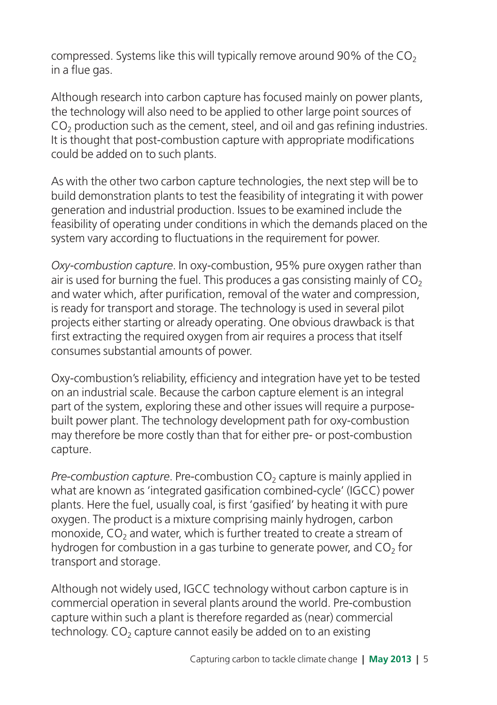compressed. Systems like this will typically remove around 90% of the  $CO<sub>2</sub>$ in a flue gas.

Although research into carbon capture has focused mainly on power plants, the technology will also need to be applied to other large point sources of  $CO<sub>2</sub>$  production such as the cement, steel, and oil and gas refining industries. It is thought that post-combustion capture with appropriate modifications could be added on to such plants.

As with the other two carbon capture technologies, the next step will be to build demonstration plants to test the feasibility of integrating it with power generation and industrial production. Issues to be examined include the feasibility of operating under conditions in which the demands placed on the system vary according to fluctuations in the requirement for power.

*Oxy-combustion capture*. In oxy-combustion, 95% pure oxygen rather than air is used for burning the fuel. This produces a gas consisting mainly of  $CO<sub>2</sub>$ and water which, after purification, removal of the water and compression, is ready for transport and storage. The technology is used in several pilot projects either starting or already operating. One obvious drawback is that first extracting the required oxygen from air requires a process that itself consumes substantial amounts of power.

Oxy-combustion's reliability, efficiency and integration have yet to be tested on an industrial scale. Because the carbon capture element is an integral part of the system, exploring these and other issues will require a purposebuilt power plant. The technology development path for oxy-combustion may therefore be more costly than that for either pre- or post-combustion capture.

*Pre-combustion capture*. Pre-combustion CO<sub>2</sub> capture is mainly applied in what are known as 'integrated gasification combined-cycle' (IGCC) power plants. Here the fuel, usually coal, is first 'gasified' by heating it with pure oxygen. The product is a mixture comprising mainly hydrogen, carbon monoxide,  $CO<sub>2</sub>$  and water, which is further treated to create a stream of hydrogen for combustion in a gas turbine to generate power, and  $CO<sub>2</sub>$  for transport and storage.

Although not widely used, IGCC technology without carbon capture is in commercial operation in several plants around the world. Pre-combustion capture within such a plant is therefore regarded as (near) commercial technology.  $CO<sub>2</sub>$  capture cannot easily be added on to an existing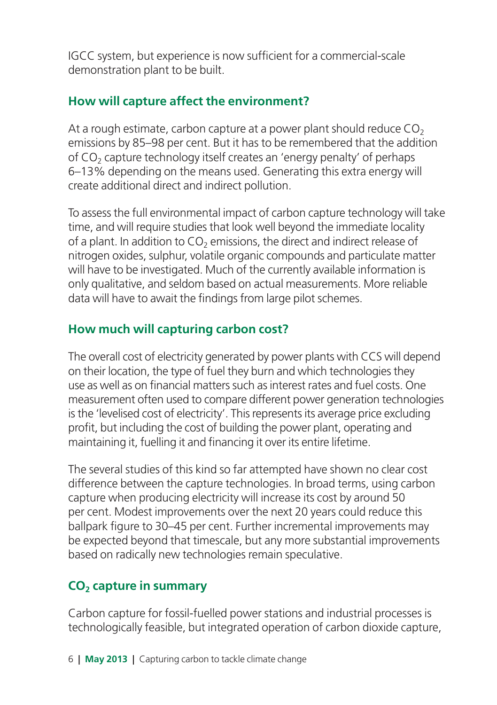IGCC system, but experience is now sufficient for a commercial-scale demonstration plant to be built.

#### **How will capture affect the environment?**

At a rough estimate, carbon capture at a power plant should reduce  $CO<sub>2</sub>$ emissions by 85–98 per cent. But it has to be remembered that the addition of CO<sub>2</sub> capture technology itself creates an 'energy penalty' of perhaps 6–13% depending on the means used. Generating this extra energy will create additional direct and indirect pollution.

To assess the full environmental impact of carbon capture technology will take time, and will require studies that look well beyond the immediate locality of a plant. In addition to  $CO<sub>2</sub>$  emissions, the direct and indirect release of nitrogen oxides, sulphur, volatile organic compounds and particulate matter will have to be investigated. Much of the currently available information is only qualitative, and seldom based on actual measurements. More reliable data will have to await the findings from large pilot schemes.

# **How much will capturing carbon cost?**

The overall cost of electricity generated by power plants with CCS will depend on their location, the type of fuel they burn and which technologies they use as well as on financial matters such as interest rates and fuel costs. One measurement often used to compare different power generation technologies is the 'levelised cost of electricity'. This represents its average price excluding profit, but including the cost of building the power plant, operating and maintaining it, fuelling it and financing it over its entire lifetime.

The several studies of this kind so far attempted have shown no clear cost difference between the capture technologies. In broad terms, using carbon capture when producing electricity will increase its cost by around 50 per cent. Modest improvements over the next 20 years could reduce this ballpark figure to 30–45 per cent. Further incremental improvements may be expected beyond that timescale, but any more substantial improvements based on radically new technologies remain speculative.

### **CO2 capture in summary**

Carbon capture for fossil-fuelled power stations and industrial processes is technologically feasible, but integrated operation of carbon dioxide capture,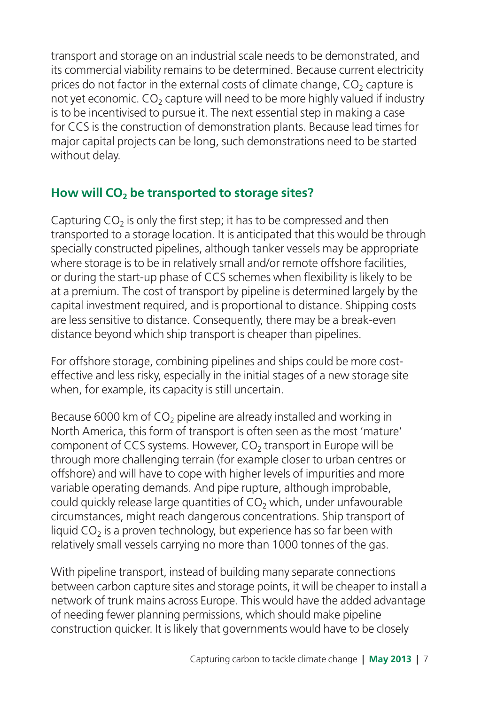transport and storage on an industrial scale needs to be demonstrated, and its commercial viability remains to be determined. Because current electricity prices do not factor in the external costs of climate change,  $CO<sub>2</sub>$  capture is not yet economic.  $CO<sub>2</sub>$  capture will need to be more highly valued if industry is to be incentivised to pursue it. The next essential step in making a case for CCS is the construction of demonstration plants. Because lead times for major capital projects can be long, such demonstrations need to be started without delay.

# How will CO<sub>2</sub> be transported to storage sites?

Capturing  $CO<sub>2</sub>$  is only the first step; it has to be compressed and then transported to a storage location. It is anticipated that this would be through specially constructed pipelines, although tanker vessels may be appropriate where storage is to be in relatively small and/or remote offshore facilities, or during the start-up phase of CCS schemes when flexibility is likely to be at a premium. The cost of transport by pipeline is determined largely by the capital investment required, and is proportional to distance. Shipping costs are less sensitive to distance. Consequently, there may be a break-even distance beyond which ship transport is cheaper than pipelines.

For offshore storage, combining pipelines and ships could be more costeffective and less risky, especially in the initial stages of a new storage site when, for example, its capacity is still uncertain.

Because 6000 km of  $CO<sub>2</sub>$  pipeline are already installed and working in North America, this form of transport is often seen as the most 'mature' component of CCS systems. However, CO<sub>2</sub> transport in Europe will be through more challenging terrain (for example closer to urban centres or offshore) and will have to cope with higher levels of impurities and more variable operating demands. And pipe rupture, although improbable, could quickly release large quantities of  $CO<sub>2</sub>$  which, under unfavourable circumstances, might reach dangerous concentrations. Ship transport of liquid  $CO<sub>2</sub>$  is a proven technology, but experience has so far been with relatively small vessels carrying no more than 1000 tonnes of the gas.

With pipeline transport, instead of building many separate connections between carbon capture sites and storage points, it will be cheaper to install a network of trunk mains across Europe. This would have the added advantage of needing fewer planning permissions, which should make pipeline construction quicker. It is likely that governments would have to be closely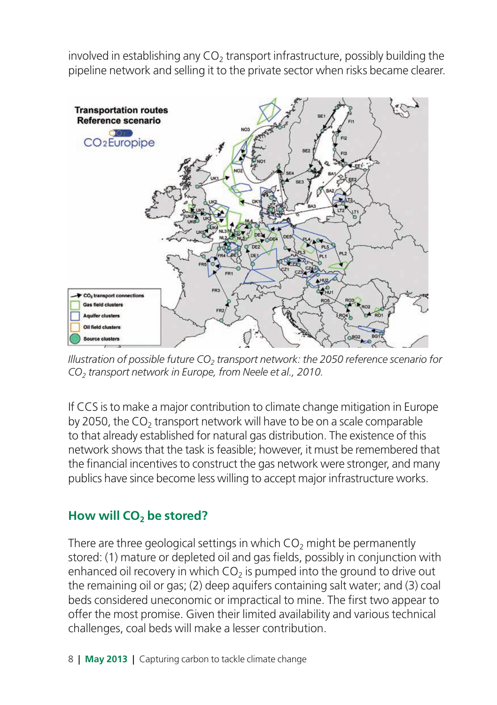involved in establishing any  $CO<sub>2</sub>$  transport infrastructure, possibly building the pipeline network and selling it to the private sector when risks became clearer.



*Illustration of possible future CO<sub>2</sub> transport network: the 2050 reference scenario for CO2 transport network in Europe, from Neele et al., 2010.*

If CCS is to make a major contribution to climate change mitigation in Europe by 2050, the  $CO<sub>2</sub>$  transport network will have to be on a scale comparable to that already established for natural gas distribution. The existence of this network shows that the task is feasible; however, it must be remembered that the financial incentives to construct the gas network were stronger, and many publics have since become less willing to accept major infrastructure works.

#### How will CO<sub>2</sub> be stored?

There are three geological settings in which  $CO<sub>2</sub>$  might be permanently stored: (1) mature or depleted oil and gas fields, possibly in conjunction with enhanced oil recovery in which  $CO<sub>2</sub>$  is pumped into the ground to drive out the remaining oil or gas; (2) deep aquifers containing salt water; and (3) coal beds considered uneconomic or impractical to mine. The first two appear to offer the most promise. Given their limited availability and various technical challenges, coal beds will make a lesser contribution.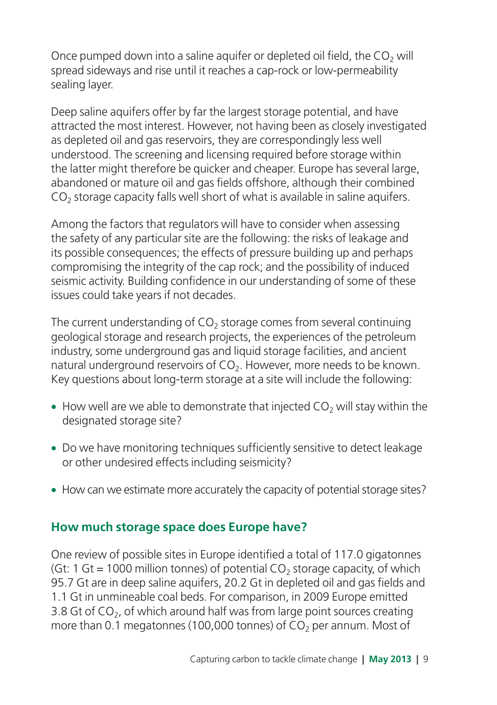Once pumped down into a saline aquifer or depleted oil field, the  $CO<sub>2</sub>$  will spread sideways and rise until it reaches a cap-rock or low-permeability sealing layer.

Deep saline aquifers offer by far the largest storage potential, and have attracted the most interest. However, not having been as closely investigated as depleted oil and gas reservoirs, they are correspondingly less well understood. The screening and licensing required before storage within the latter might therefore be quicker and cheaper. Europe has several large, abandoned or mature oil and gas fields offshore, although their combined  $CO<sub>2</sub>$  storage capacity falls well short of what is available in saline aquifers.

Among the factors that regulators will have to consider when assessing the safety of any particular site are the following: the risks of leakage and its possible consequences; the effects of pressure building up and perhaps compromising the integrity of the cap rock; and the possibility of induced seismic activity. Building confidence in our understanding of some of these issues could take years if not decades.

The current understanding of  $CO<sub>2</sub>$  storage comes from several continuing geological storage and research projects, the experiences of the petroleum industry, some underground gas and liquid storage facilities, and ancient natural underground reservoirs of CO<sub>2</sub>. However, more needs to be known. Key questions about long-term storage at a site will include the following:

- How well are we able to demonstrate that injected  $CO<sub>2</sub>$  will stay within the designated storage site?
- Do we have monitoring techniques sufficiently sensitive to detect leakage or other undesired effects including seismicity?
- How can we estimate more accurately the capacity of potential storage sites?

### **How much storage space does Europe have?**

One review of possible sites in Europe identified a total of 117.0 gigatonnes (Gt: 1 Gt = 1000 million tonnes) of potential  $CO<sub>2</sub>$  storage capacity, of which 95.7 Gt are in deep saline aquifers, 20.2 Gt in depleted oil and gas fields and 1.1 Gt in unmineable coal beds. For comparison, in 2009 Europe emitted 3.8 Gt of  $CO<sub>2</sub>$ , of which around half was from large point sources creating more than 0.1 megatonnes (100,000 tonnes) of  $CO<sub>2</sub>$  per annum. Most of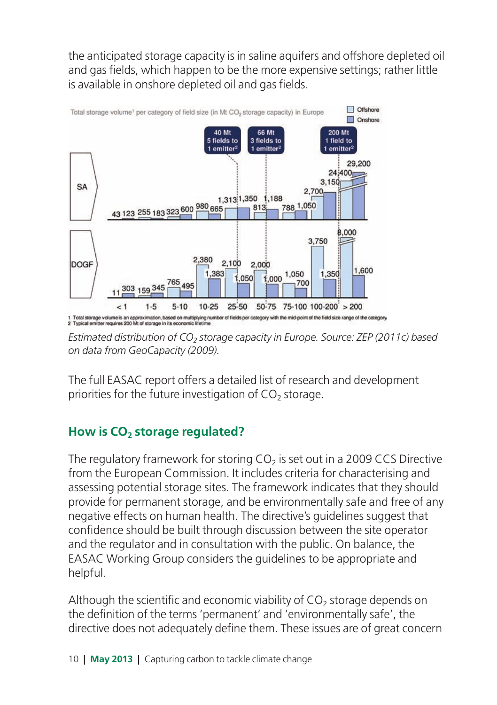the anticipated storage capacity is in saline aquifers and offshore depleted oil and gas fields, which happen to be the more expensive settings; rather little is available in onshore depleted oil and gas fields.



*Estimated distribution of CO<sub>2</sub> storage capacity in Europe. Source: ZEP (2011c) based on data from GeoCapacity (2009).*

The full EASAC report offers a detailed list of research and development priorities for the future investigation of  $CO<sub>2</sub>$  storage.

# How is CO<sub>2</sub> storage regulated?

The regulatory framework for storing  $CO<sub>2</sub>$  is set out in a 2009 CCS Directive from the European Commission. It includes criteria for characterising and assessing potential storage sites. The framework indicates that they should provide for permanent storage, and be environmentally safe and free of any negative effects on human health. The directive's guidelines suggest that confidence should be built through discussion between the site operator and the regulator and in consultation with the public. On balance, the EASAC Working Group considers the guidelines to be appropriate and helpful.

Although the scientific and economic viability of  $CO<sub>2</sub>$  storage depends on the definition of the terms 'permanent' and 'environmentally safe', the directive does not adequately define them. These issues are of great concern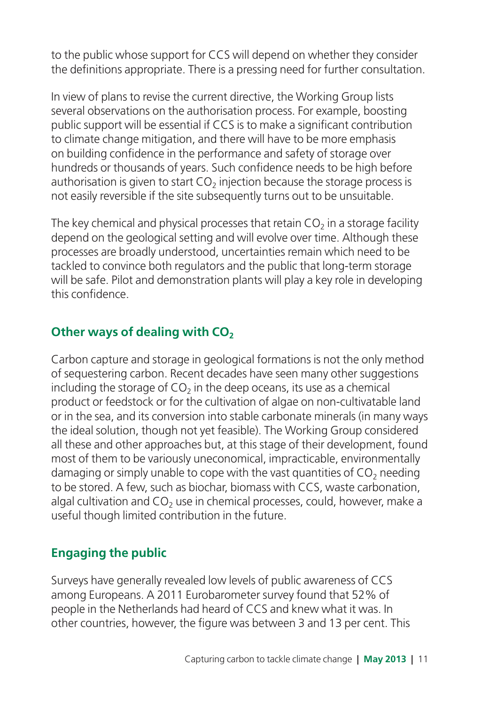to the public whose support for CCS will depend on whether they consider the definitions appropriate. There is a pressing need for further consultation.

In view of plans to revise the current directive, the Working Group lists several observations on the authorisation process. For example, boosting public support will be essential if CCS is to make a significant contribution to climate change mitigation, and there will have to be more emphasis on building confidence in the performance and safety of storage over hundreds or thousands of years. Such confidence needs to be high before authorisation is given to start  $CO<sub>2</sub>$  injection because the storage process is not easily reversible if the site subsequently turns out to be unsuitable.

The key chemical and physical processes that retain  $CO<sub>2</sub>$  in a storage facility depend on the geological setting and will evolve over time. Although these processes are broadly understood, uncertainties remain which need to be tackled to convince both regulators and the public that long-term storage will be safe. Pilot and demonstration plants will play a key role in developing this confidence.

# **Other ways of dealing with CO<sub>2</sub>**

Carbon capture and storage in geological formations is not the only method of sequestering carbon. Recent decades have seen many other suggestions including the storage of  $CO<sub>2</sub>$  in the deep oceans, its use as a chemical product or feedstock or for the cultivation of algae on non-cultivatable land or in the sea, and its conversion into stable carbonate minerals (in many ways the ideal solution, though not yet feasible). The Working Group considered all these and other approaches but, at this stage of their development, found most of them to be variously uneconomical, impracticable, environmentally damaging or simply unable to cope with the vast quantities of  $CO<sub>2</sub>$  needing to be stored. A few, such as biochar, biomass with CCS, waste carbonation, algal cultivation and  $CO<sub>2</sub>$  use in chemical processes, could, however, make a useful though limited contribution in the future.

# **Engaging the public**

Surveys have generally revealed low levels of public awareness of CCS among Europeans. A 2011 Eurobarometer survey found that 52% of people in the Netherlands had heard of CCS and knew what it was. In other countries, however, the figure was between 3 and 13 per cent. This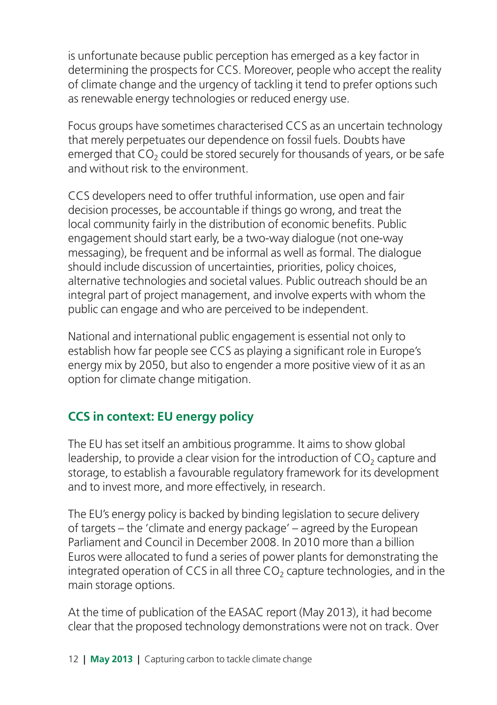is unfortunate because public perception has emerged as a key factor in determining the prospects for CCS. Moreover, people who accept the reality of climate change and the urgency of tackling it tend to prefer options such as renewable energy technologies or reduced energy use.

Focus groups have sometimes characterised CCS as an uncertain technology that merely perpetuates our dependence on fossil fuels. Doubts have emerged that  $CO<sub>2</sub>$  could be stored securely for thousands of years, or be safe and without risk to the environment.

CCS developers need to offer truthful information, use open and fair decision processes, be accountable if things go wrong, and treat the local community fairly in the distribution of economic benefits. Public engagement should start early, be a two-way dialogue (not one-way messaging), be frequent and be informal as well as formal. The dialogue should include discussion of uncertainties, priorities, policy choices, alternative technologies and societal values. Public outreach should be an integral part of project management, and involve experts with whom the public can engage and who are perceived to be independent.

National and international public engagement is essential not only to establish how far people see CCS as playing a significant role in Europe's energy mix by 2050, but also to engender a more positive view of it as an option for climate change mitigation.

### **CCS in context: EU energy policy**

The EU has set itself an ambitious programme. It aims to show global leadership, to provide a clear vision for the introduction of  $CO<sub>2</sub>$  capture and storage, to establish a favourable regulatory framework for its development and to invest more, and more effectively, in research.

The EU's energy policy is backed by binding legislation to secure delivery of targets – the 'climate and energy package' – agreed by the European Parliament and Council in December 2008. In 2010 more than a billion Euros were allocated to fund a series of power plants for demonstrating the integrated operation of CCS in all three  $CO<sub>2</sub>$  capture technologies, and in the main storage options.

At the time of publication of the EASAC report (May 2013), it had become clear that the proposed technology demonstrations were not on track. Over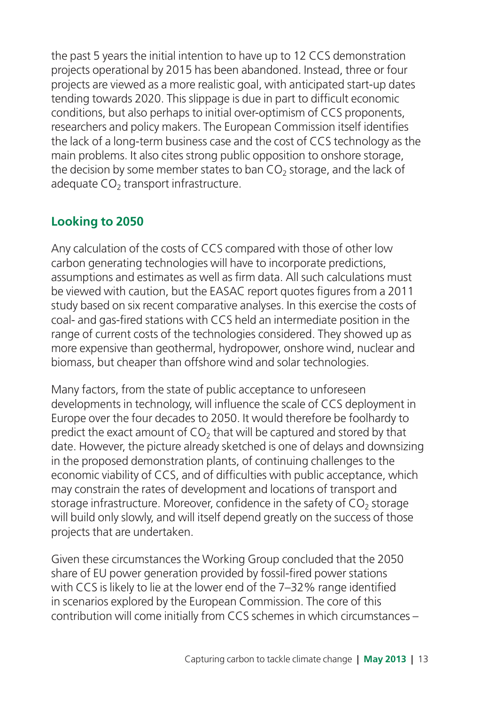the past 5 years the initial intention to have up to 12 CCS demonstration projects operational by 2015 has been abandoned. Instead, three or four projects are viewed as a more realistic goal, with anticipated start-up dates tending towards 2020. This slippage is due in part to difficult economic conditions, but also perhaps to initial over-optimism of CCS proponents, researchers and policy makers. The European Commission itself identifies the lack of a long-term business case and the cost of CCS technology as the main problems. It also cites strong public opposition to onshore storage, the decision by some member states to ban  $CO<sub>2</sub>$  storage, and the lack of adequate  $CO<sub>2</sub>$  transport infrastructure.

# **Looking to 2050**

Any calculation of the costs of CCS compared with those of other low carbon generating technologies will have to incorporate predictions, assumptions and estimates as well as firm data. All such calculations must be viewed with caution, but the EASAC report quotes figures from a 2011 study based on six recent comparative analyses. In this exercise the costs of coal- and gas-fired stations with CCS held an intermediate position in the range of current costs of the technologies considered. They showed up as more expensive than geothermal, hydropower, onshore wind, nuclear and biomass, but cheaper than offshore wind and solar technologies.

Many factors, from the state of public acceptance to unforeseen developments in technology, will influence the scale of CCS deployment in Europe over the four decades to 2050. It would therefore be foolhardy to predict the exact amount of  $CO<sub>2</sub>$  that will be captured and stored by that date. However, the picture already sketched is one of delays and downsizing in the proposed demonstration plants, of continuing challenges to the economic viability of CCS, and of difficulties with public acceptance, which may constrain the rates of development and locations of transport and storage infrastructure. Moreover, confidence in the safety of  $CO<sub>2</sub>$  storage will build only slowly, and will itself depend greatly on the success of those projects that are undertaken.

Given these circumstances the Working Group concluded that the 2050 share of EU power generation provided by fossil-fired power stations with CCS is likely to lie at the lower end of the 7–32% range identified in scenarios explored by the European Commission. The core of this contribution will come initially from CCS schemes in which circumstances –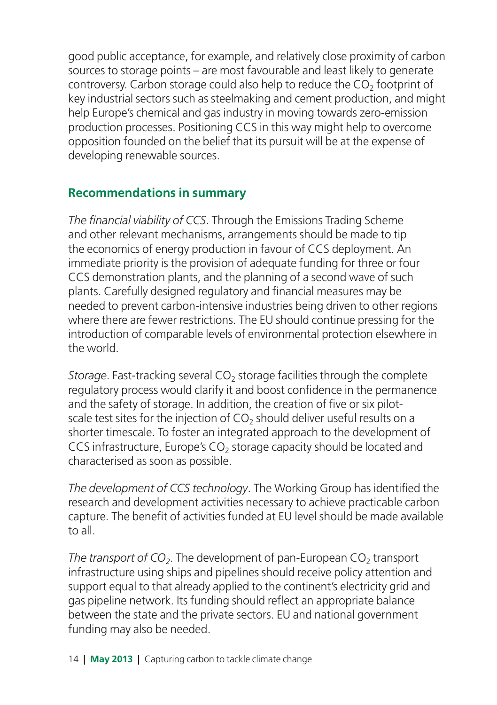good public acceptance, for example, and relatively close proximity of carbon sources to storage points – are most favourable and least likely to generate controversy. Carbon storage could also help to reduce the  $CO<sub>2</sub>$  footprint of key industrial sectors such as steelmaking and cement production, and might help Europe's chemical and gas industry in moving towards zero-emission production processes. Positioning CCS in this way might help to overcome opposition founded on the belief that its pursuit will be at the expense of developing renewable sources.

#### **Recommendations in summary**

*The financial viability of CCS*. Through the Emissions Trading Scheme and other relevant mechanisms, arrangements should be made to tip the economics of energy production in favour of CCS deployment. An immediate priority is the provision of adequate funding for three or four CCS demonstration plants, and the planning of a second wave of such plants. Carefully designed regulatory and financial measures may be needed to prevent carbon-intensive industries being driven to other regions where there are fewer restrictions. The EU should continue pressing for the introduction of comparable levels of environmental protection elsewhere in the world.

*Storage*. Fast-tracking several CO<sub>2</sub> storage facilities through the complete regulatory process would clarify it and boost confidence in the permanence and the safety of storage. In addition, the creation of five or six pilotscale test sites for the injection of  $CO<sub>2</sub>$  should deliver useful results on a shorter timescale. To foster an integrated approach to the development of CCS infrastructure, Europe's CO<sub>2</sub> storage capacity should be located and characterised as soon as possible.

*The development of CCS technology*. The Working Group has identified the research and development activities necessary to achieve practicable carbon capture. The benefit of activities funded at EU level should be made available to all.

*The transport of CO<sub>2</sub>*. The development of pan-European CO<sub>2</sub> transport infrastructure using ships and pipelines should receive policy attention and support equal to that already applied to the continent's electricity grid and gas pipeline network. Its funding should reflect an appropriate balance between the state and the private sectors. EU and national government funding may also be needed.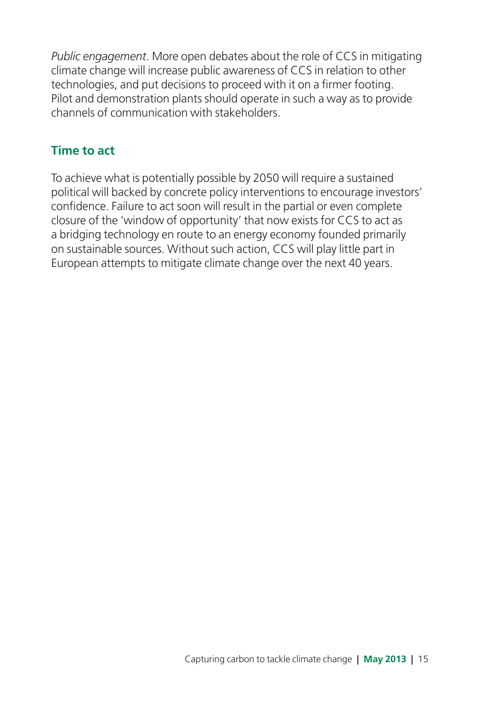*Public engagement*. More open debates about the role of CCS in mitigating climate change will increase public awareness of CCS in relation to other technologies, and put decisions to proceed with it on a firmer footing. Pilot and demonstration plants should operate in such a way as to provide channels of communication with stakeholders.

#### **Time to act**

To achieve what is potentially possible by 2050 will require a sustained political will backed by concrete policy interventions to encourage investors' confidence. Failure to act soon will result in the partial or even complete closure of the 'window of opportunity' that now exists for CCS to act as a bridging technology en route to an energy economy founded primarily on sustainable sources. Without such action, CCS will play little part in European attempts to mitigate climate change over the next 40 years.